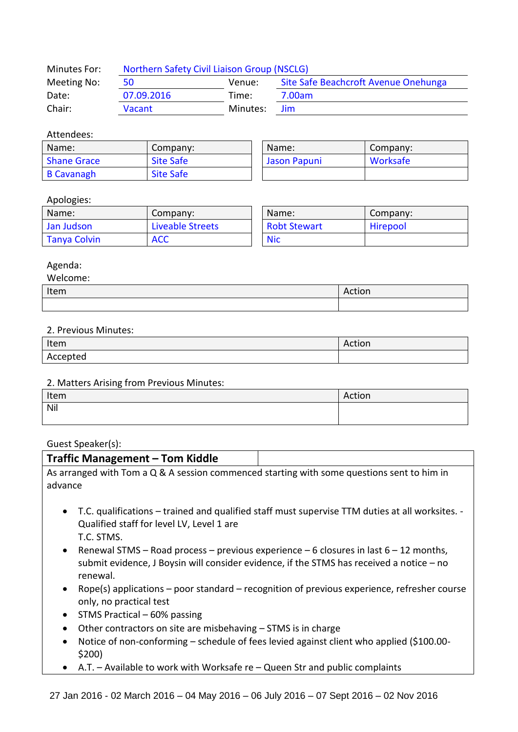| Minutes For: | Northern Safety Civil Liaison Group (NSCLG) |          |                                      |
|--------------|---------------------------------------------|----------|--------------------------------------|
| Meeting No:  | 50                                          | Venue:   | Site Safe Beachcroft Avenue Onehunga |
| Date:        | 07.09.2016                                  | Time:    | 7.00am                               |
| Chair:       | <b>Vacant</b>                               | Minutes: | <b>Jim</b>                           |

### Attendees:

| Name:              | Company:         | Name:        | Company: |
|--------------------|------------------|--------------|----------|
| <b>Shane Grace</b> | <b>Site Safe</b> | Jason Papuni | Worksafe |
| <b>B Cavanagh</b>  | <b>Site Safe</b> |              |          |

## Apologies:

| Name:               | Company:         | Name:               | Company: |
|---------------------|------------------|---------------------|----------|
| Jan Judson          | Liveable Streets | <b>Robt Stewart</b> | Hirepool |
| <b>Tanya Colvin</b> | <b>ACC</b>       | <b>Nic</b>          |          |

| Name:               | Company: |  |
|---------------------|----------|--|
| <b>Robt Stewart</b> | Hirepool |  |
| Nic                 |          |  |

## Agenda:

| Welcome: |        |
|----------|--------|
| Item     | Action |
|          |        |

#### 2. Previous Minutes:

| Item     | $\sim$ $\sim$ $\sim$<br>$\mathbf{a}$<br>ACUON |
|----------|-----------------------------------------------|
| Accepted |                                               |

#### 2. Matters Arising from Previous Minutes:

| Item | Action |
|------|--------|
| Nil  |        |
|      |        |

# Guest Speaker(s):

| <b>Traffic Management - Tom Kiddle</b>                                                                |                                                                                                                                                                                     |
|-------------------------------------------------------------------------------------------------------|-------------------------------------------------------------------------------------------------------------------------------------------------------------------------------------|
| As arranged with Tom a Q & A session commenced starting with some questions sent to him in<br>advance |                                                                                                                                                                                     |
| Qualified staff for level LV, Level 1 are<br>T.C. STMS.                                               | • T.C. qualifications – trained and qualified staff must supervise TTM duties at all worksites. -                                                                                   |
| $\bullet$<br>renewal.                                                                                 | Renewal STMS – Road process – previous experience – 6 closures in last $6 - 12$ months,<br>submit evidence, J Boysin will consider evidence, if the STMS has received a notice – no |
| $\bullet$<br>only, no practical test                                                                  | Rope(s) applications – poor standard – recognition of previous experience, refresher course                                                                                         |

- $\bullet$  STMS Practical 60% passing
- Other contractors on site are misbehaving STMS is in charge
- Notice of non-conforming schedule of fees levied against client who applied (\$100.00- \$200)
- A.T. Available to work with Worksafe re Queen Str and public complaints